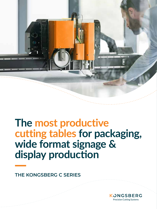

# **The most productive cutting tables for packaging, wide format signage & display production**

### **THE KONGSBERG C SERIES**

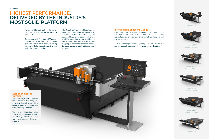#### **Carbon composite traverse**

The Kongsberg C60, C64 and C66 tables have a carbon composite traverse, which makes it possible to combine speed with quality, even while spanning 3.2 meter.

The extreme rigidity of the carbon traverse allows high speed, accuracy and a heavy payload, even when working on the most demanding materials.





### **HIGHEST PERFORMANCE, DELIVERED BY THE INDUSTRY'S MOST SOLID PLATFORM**

Kongsberg C Series is built for the highest performance, redefining the possibilites of digital finishing.

The Kongsberg C offers speed (100 m/min - 66 in/sec) and acceleration (up to 1.7 G) with quick and precise tool movements, making high quality digital production possible, even under the tightest deadlines.

The Kongsberg C cutting table delivers an iconic performance that is made possible by state of the art, rock solid engineering. The cutting table utilizes aerospace technology, combining an aluminum composite tabletop, a rack & pinion drive system and dynamic table mapping. These features all ensure that the table provides the greatest cutting accuracy and consistency.

Kongsberg C24 / Kongsberg C Edge 24



Kongsberg C44 / Kongsberg C Edge 44



Kongsberg C60 / Kongsberg C Edge 60



Kongsberg C64 / Kongsberg C Edge 64



Kongsberg C66

Kongsberg C20



### **Introducing: Kongsberg C Edge**

Exceptional quality at a remarkable price. Step up your productivity with its high speed (75 m/min) and acceleration (1 G), and astound your customers with impressive, high quality results and fast turnarounds.

As your company grows, the Kongsberg C Edge evolves with you and can be easily upgraded in both speed and acceleration.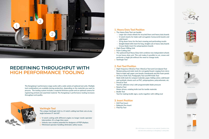



Rigid signage



Display



Corrugated packaging



Folding carton





Flexible signage

### **1. Heavy Duty Tool Position**

- **›** The Heavy Duty Tool can handle:
	- › Large-size crease wheels for recycled liners and heavy duty boards
	- › V-notch inserts for triple wall corrugated, honeycomb boards and solid board
	- $\rightarrow$  50 kg down force for the best creasing and perforating results
- › Straight-blade knife insert for long, straight cuts in heavy-duty boards
- › Crease blade insert for polypropylene boards
- **›** High-Power Milling Unit
- **›** Foam Cutting Unit
- **›** The optional Dual Heavy Duty Unit combines two independent wheels in one heavy-duty unit. This unit makes it possible to cut, crease and perforate a single job without the need to change tools.
- **›** VariAngle Tool

- **›** Drill Tool Insert
- **›** Ballpoint Pen Insert<br>**›** FiberTip Tool
- 

### **2. Fast Tool Position**

- **›** High-frequency VibraCut Tool, VibraCut Tool and CorruSpeed Tool Reciprocating and static tools for corrugated board, ranging from micro flute to triple wall, paper core boards, foamboards and thin foam panels
- **›** Hi-Force Knife Tool, Psaligraphy Tool and RM Knife Tool Static knife tools for compact materials; paper, folding carton, solid board and synthetic sheets such as PVC, polypropylene, polycarbonate, etc.
- **›** PressCut Tool
- Tool for adhesive vinyl, with programmable blade pressure
- **›** RotaCut Tool
- Motor-driven, rotating knife tool for textile materials
- **›** Braille Tool
- Tool for making braille signs, works together with milling tool

### **3. Insert Position**

The unique VariAngle Unit is a V-notch cutting tool that cuts at any angle between 0° and 60°.

- **›** V-notch cutting with different angles no longer needs operator intervention. It's a huge time saver.
- **›** Unlocks new creative potential for designers of POP displays.
- **›** Minimized operator handling eliminates safety issues.

### **REDEFINING THROUGHPUT WITH HIGH PERFORMANCE TOOLING**

The Kongsberg C performance range works with a wide variety of optional tool units. Multiple tool combinations are available during production, depending on the materials you want to process. The tooling system includes a material thickness probe and an optional camera for registering printed and unprinted material. The Kongsberg C performance tooling increases throughput and quality.



#### **VariAngle Tool**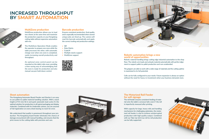### **MultiZone production**

MultiZone production allows you to load two sheets at the same time and maximize the production capacity on your Kongsberg cutting table without expensive automation add-ons.

The MultiZone Operation Mode enables the operator to prepare one zone while the table processes the other, with automatic change-over when one zone is completed, vastly increasing overall productivity and throughput.

- **›** Data Matrix
- **›** Code39
- **›** Multiple stacks support<br>**›** MultiZone support
- 





#### **Robotic automation brings a new world of opportunities**

An optional zone control panel can be mounted on the table's side cover, providing a time-saving way of acknowledging that the zone is ready for production and also manual vacuum hold-down control.

### **Barcode production**

Ensures consistent production, final quality and is especially recommended when several unique jobs are lined up. The camera will read the barcode automatically and apply the correct tooling and production settings.

#### **›** QR

Robotic material handling brings cutting edge industrial automation to the shop floor. The robotic arm loads and unloads material automatically with perfect alignment to support pallet-to-pallet production and runs unattended.

The grippers are able to work with a wide range of materials and the cutting uptime is maximized to its full potential.

Cells can be fully configured to your needs. Future expansion is always an option without the need for heavy re-investment when your business demands more.

### **Sheet automation**

The Kongsberg Automate Board Feeder and Stacker is an easy to use pallet-to-pallet material handling solution. With a stack height at 915 mm/36 in and quick automatic load cycles it's the optimal solution for production in all typical packaging and display materials. Combined with he Underside camera, you are assured of full registration on every sheet leaving no room for error.

We understand that quality is paramount throughout your production. The Kongsberg board feeder eliminates the chance of damage encountered with manual handling, and ensures that the print moves to the cutting table with precision and care.



### **The Motorized Roll Feeder for soft signage**

The roll feeder ensures consistent feeding of material onto the table's conveyor belt, even if the roll is imperfectly rewound after printing.

With capacity for large, heavy rolls and handling mechanisms for challenging substrates, the motorized roll feeder is vital to achieve uninterrupted production with high quality output. Combined with our Take Up Unit true roll-to-roll production can be fully supported.



### **INCREASED THROUGHPUT BY SMART AUTOMATION**